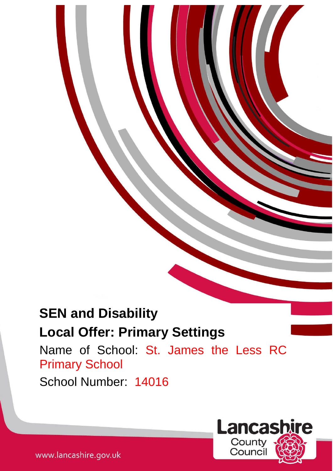# **SEN and Disability Local Offer: Primary Settings**

Name of School: St. James the Less RC Primary School

1

School Number: 14016

**Lancashire** County Counci

www.lancashire.gov.uk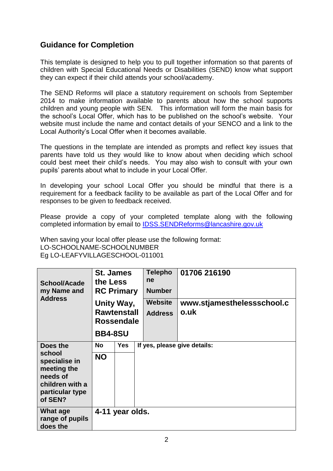# **Guidance for Completion**

This template is designed to help you to pull together information so that parents of children with Special Educational Needs or Disabilities (SEND) know what support they can expect if their child attends your school/academy.

The SEND Reforms will place a statutory requirement on schools from September 2014 to make information available to parents about how the school supports children and young people with SEN. This information will form the main basis for the school's Local Offer, which has to be published on the school's website. Your website must include the name and contact details of your SENCO and a link to the Local Authority's Local Offer when it becomes available.

The questions in the template are intended as prompts and reflect key issues that parents have told us they would like to know about when deciding which school could best meet their child's needs. You may also wish to consult with your own pupils' parents about what to include in your Local Offer.

In developing your school Local Offer you should be mindful that there is a requirement for a feedback facility to be available as part of the Local Offer and for responses to be given to feedback received.

Please provide a copy of your completed template along with the following completed information by email to [IDSS.SENDReforms@lancashire.gov.uk](mailto:IDSS.SENDReforms@lancashire.gov.uk)

When saving your local offer please use the following format: LO-SCHOOLNAME-SCHOOLNUMBER Eg LO-LEAFYVILLAGESCHOOL-011001

| <b>School/Acade</b><br>my Name and                                                                  | <b>St. James</b><br>the Less<br><b>RC Primary</b><br><b>Address</b><br>Unity Way,<br><b>Rawtenstall</b><br><b>Rossendale</b><br><b>BB4-8SU</b> |                 | <b>Telepho</b><br>ne<br><b>Number</b> | 01706 216190                       |
|-----------------------------------------------------------------------------------------------------|------------------------------------------------------------------------------------------------------------------------------------------------|-----------------|---------------------------------------|------------------------------------|
|                                                                                                     |                                                                                                                                                |                 | <b>Website</b><br><b>Address</b>      | www.stjamesthelessschool.c<br>o.uk |
| Does the                                                                                            | <b>No</b>                                                                                                                                      | <b>Yes</b>      |                                       | If yes, please give details:       |
| school<br>specialise in<br>meeting the<br>needs of<br>children with a<br>particular type<br>of SEN? | <b>NO</b>                                                                                                                                      |                 |                                       |                                    |
| What age<br>range of pupils<br>does the                                                             |                                                                                                                                                | 4-11 year olds. |                                       |                                    |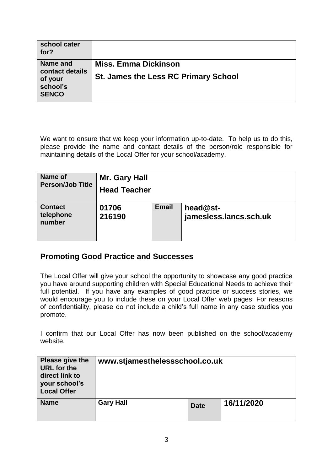| school cater<br>for?                                               |                                                                            |
|--------------------------------------------------------------------|----------------------------------------------------------------------------|
| Name and<br>contact details<br>of your<br>school's<br><b>SENCO</b> | <b>Miss. Emma Dickinson</b><br><b>St. James the Less RC Primary School</b> |

We want to ensure that we keep your information up-to-date. To help us to do this, please provide the name and contact details of the person/role responsible for maintaining details of the Local Offer for your school/academy.

| Name of                               | Mr. Gary Hall       |              |                                      |  |  |
|---------------------------------------|---------------------|--------------|--------------------------------------|--|--|
| <b>Person/Job Title</b>               | <b>Head Teacher</b> |              |                                      |  |  |
| <b>Contact</b><br>telephone<br>number | 01706<br>216190     | <b>Email</b> | $head@st-$<br>jamesless.lancs.sch.uk |  |  |

# **Promoting Good Practice and Successes**

The Local Offer will give your school the opportunity to showcase any good practice you have around supporting children with Special Educational Needs to achieve their full potential. If you have any examples of good practice or success stories, we would encourage you to include these on your Local Offer web pages. For reasons of confidentiality, please do not include a child's full name in any case studies you promote.

I confirm that our Local Offer has now been published on the school/academy website.

| Please give the<br><b>URL</b> for the<br>direct link to<br>your school's<br><b>Local Offer</b> | www.stjamesthelessschool.co.uk |             |            |  |
|------------------------------------------------------------------------------------------------|--------------------------------|-------------|------------|--|
| <b>Name</b>                                                                                    | <b>Gary Hall</b>               | <b>Date</b> | 16/11/2020 |  |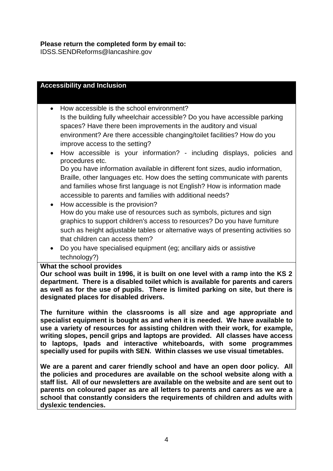IDSS.SENDReforms@lancashire.gov

| <b>Accessibility and Inclusion</b>                                                                                                             |  |  |  |
|------------------------------------------------------------------------------------------------------------------------------------------------|--|--|--|
|                                                                                                                                                |  |  |  |
| How accessible is the school environment?<br>$\bullet$                                                                                         |  |  |  |
| Is the building fully wheelchair accessible? Do you have accessible parking<br>spaces? Have there been improvements in the auditory and visual |  |  |  |
| environment? Are there accessible changing/toilet facilities? How do you                                                                       |  |  |  |
| improve access to the setting?                                                                                                                 |  |  |  |
| How accessible is your information? - including displays, policies and<br>$\bullet$<br>procedures etc.                                         |  |  |  |
| Do you have information available in different font sizes, audio information,                                                                  |  |  |  |
| Braille, other languages etc. How does the setting communicate with parents                                                                    |  |  |  |
| and families whose first language is not English? How is information made                                                                      |  |  |  |
| accessible to parents and families with additional needs?                                                                                      |  |  |  |
| How accessible is the provision?<br>$\bullet$                                                                                                  |  |  |  |
| How do you make use of resources such as symbols, pictures and sign                                                                            |  |  |  |
| graphics to support children's access to resources? Do you have furniture                                                                      |  |  |  |
| such as height adjustable tables or alternative ways of presenting activities so                                                               |  |  |  |
| that children can access them?                                                                                                                 |  |  |  |
|                                                                                                                                                |  |  |  |
| Do you have specialised equipment (eg; ancillary aids or assistive<br>$\bullet$                                                                |  |  |  |
| technology?)                                                                                                                                   |  |  |  |
| What the school provides<br>Our school was built in 1996 it is built on one level with a ramp into the KS 2                                    |  |  |  |

**Our school was built in 1996, it is built on one level with a ramp into the KS 2 department. There is a disabled toilet which is available for parents and carers as well as for the use of pupils. There is limited parking on site, but there is designated places for disabled drivers.**

**The furniture within the classrooms is all size and age appropriate and specialist equipment is bought as and when it is needed. We have available to use a variety of resources for assisting children with their work, for example, writing slopes, pencil grips and laptops are provided. All classes have access to laptops, Ipads and interactive whiteboards, with some programmes specially used for pupils with SEN. Within classes we use visual timetables.**

**We are a parent and carer friendly school and have an open door policy. All the policies and procedures are available on the school website along with a staff list. All of our newsletters are available on the website and are sent out to parents on coloured paper as are all letters to parents and carers as we are a school that constantly considers the requirements of children and adults with dyslexic tendencies.**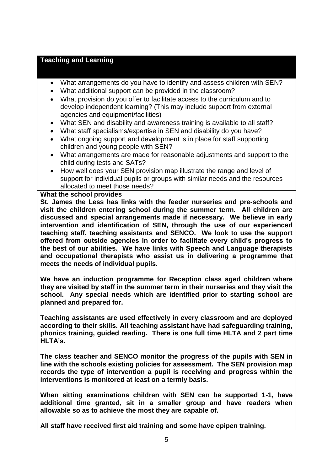# **Teaching and Learning**

- What arrangements do you have to identify and assess children with SEN?
- What additional support can be provided in the classroom?
- What provision do you offer to facilitate access to the curriculum and to develop independent learning? (This may include support from external agencies and equipment/facilities)
- What SEN and disability and awareness training is available to all staff?
- What staff specialisms/expertise in SEN and disability do you have?
- What ongoing support and development is in place for staff supporting children and young people with SEN?
- What arrangements are made for reasonable adjustments and support to the child during tests and SATs?
- How well does your SEN provision map illustrate the range and level of support for individual pupils or groups with similar needs and the resources allocated to meet those needs?

## **What the school provides**

**St. James the Less has links with the feeder nurseries and pre-schools and visit the children entering school during the summer term. All children are discussed and special arrangements made if necessary. We believe in early intervention and identification of SEN, through the use of our experienced teaching staff, teaching assistants and SENCO. We look to use the support offered from outside agencies in order to facilitate every child's progress to the best of our abilities. We have links with Speech and Language therapists and occupational therapists who assist us in delivering a programme that meets the needs of individual pupils.**

**We have an induction programme for Reception class aged children where they are visited by staff in the summer term in their nurseries and they visit the school. Any special needs which are identified prior to starting school are planned and prepared for.**

**Teaching assistants are used effectively in every classroom and are deployed according to their skills. All teaching assistant have had safeguarding training, phonics training, guided reading. There is one full time HLTA and 2 part time HLTA's.**

**The class teacher and SENCO monitor the progress of the pupils with SEN in line with the schools existing policies for assessment. The SEN provision map records the type of intervention a pupil is receiving and progress within the interventions is monitored at least on a termly basis.**

**When sitting examinations children with SEN can be supported 1-1, have additional time granted, sit in a smaller group and have readers when allowable so as to achieve the most they are capable of.**

**All staff have received first aid training and some have epipen training.**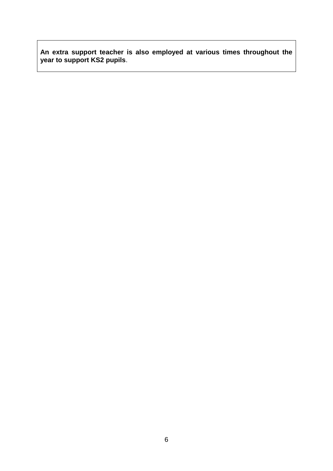**An extra support teacher is also employed at various times throughout the year to support KS2 pupils**.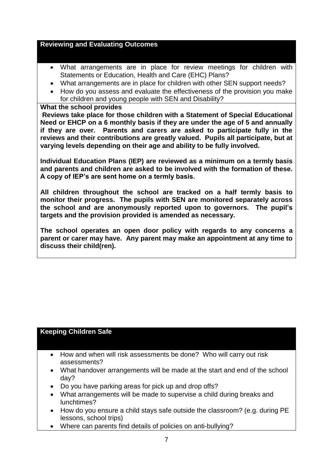# **Reviewing and Evaluating Outcomes**

- What arrangements are in place for review meetings for children with Statements or Education, Health and Care (EHC) Plans?
- What arrangements are in place for children with other SEN support needs?
- How do you assess and evaluate the effectiveness of the provision you make for children and young people with SEN and Disability?

## **What the school provides**

**Reviews take place for those children with a Statement of Special Educational Need or EHCP on a 6 monthly basis if they are under the age of 5 and annually if they are over. Parents and carers are asked to participate fully in the reviews and their contributions are greatly valued. Pupils all participate, but at varying levels depending on their age and ability to be fully involved.** 

**Individual Education Plans (IEP) are reviewed as a minimum on a termly basis and parents and children are asked to be involved with the formation of these. A copy of IEP's are sent home on a termly basis.**

**All children throughout the school are tracked on a half termly basis to monitor their progress. The pupils with SEN are monitored separately across the school and are anonymously reported upon to governors. The pupil's targets and the provision provided is amended as necessary.**

**The school operates an open door policy with regards to any concerns a parent or carer may have. Any parent may make an appointment at any time to discuss their child(ren).**

# **Keeping Children Safe**

- How and when will risk assessments be done? Who will carry out risk assessments?
- What handover arrangements will be made at the start and end of the school day?
- Do you have parking areas for pick up and drop offs?
- What arrangements will be made to supervise a child during breaks and lunchtimes?
- How do you ensure a child stays safe outside the classroom? (e.g. during PE lessons, school trips)
- Where can parents find details of policies on anti-bullying?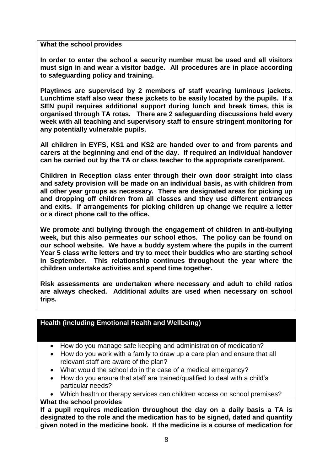**What the school provides**

**In order to enter the school a security number must be used and all visitors must sign in and wear a visitor badge. All procedures are in place according to safeguarding policy and training.**

**Playtimes are supervised by 2 members of staff wearing luminous jackets. Lunchtime staff also wear these jackets to be easily located by the pupils. If a SEN pupil requires additional support during lunch and break times, this is organised through TA rotas. There are 2 safeguarding discussions held every week with all teaching and supervisory staff to ensure stringent monitoring for any potentially vulnerable pupils.**

**All children in EYFS, KS1 and KS2 are handed over to and from parents and carers at the beginning and end of the day. If required an individual handover can be carried out by the TA or class teacher to the appropriate carer/parent.**

**Children in Reception class enter through their own door straight into class and safety provision will be made on an individual basis, as with children from all other year groups as necessary. There are designated areas for picking up and dropping off children from all classes and they use different entrances and exits. If arrangements for picking children up change we require a letter or a direct phone call to the office.**

**We promote anti bullying through the engagement of children in anti-bullying week, but this also permeates our school ethos. The policy can be found on our school website. We have a buddy system where the pupils in the current Year 5 class write letters and try to meet their buddies who are starting school in September. This relationship continues throughout the year where the children undertake activities and spend time together.**

**Risk assessments are undertaken where necessary and adult to child ratios are always checked. Additional adults are used when necessary on school trips.**

# **Health (including Emotional Health and Wellbeing)**

- How do you manage safe keeping and administration of medication?
- How do you work with a family to draw up a care plan and ensure that all relevant staff are aware of the plan?
- What would the school do in the case of a medical emergency?
- How do you ensure that staff are trained/qualified to deal with a child's particular needs?
- Which health or therapy services can children access on school premises?

# **What the school provides**

**If a pupil requires medication throughout the day on a daily basis a TA is designated to the role and the medication has to be signed, dated and quantity given noted in the medicine book. If the medicine is a course of medication for**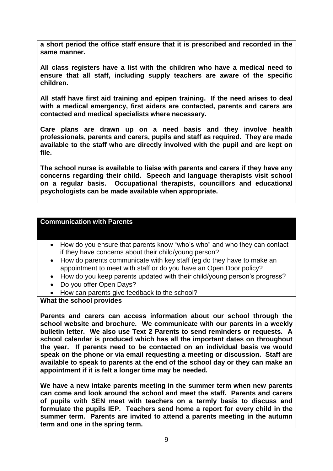**a short period the office staff ensure that it is prescribed and recorded in the same manner.**

**All class registers have a list with the children who have a medical need to ensure that all staff, including supply teachers are aware of the specific children.**

**All staff have first aid training and epipen training. If the need arises to deal with a medical emergency, first aiders are contacted, parents and carers are contacted and medical specialists where necessary.**

**Care plans are drawn up on a need basis and they involve health professionals, parents and carers, pupils and staff as required. They are made available to the staff who are directly involved with the pupil and are kept on file.**

**The school nurse is available to liaise with parents and carers if they have any concerns regarding their child. Speech and language therapists visit school on a regular basis. Occupational therapists, councillors and educational psychologists can be made available when appropriate.**

#### **Communication with Parents**

- How do you ensure that parents know "who's who" and who they can contact if they have concerns about their child/young person?
- How do parents communicate with key staff (eg do they have to make an appointment to meet with staff or do you have an Open Door policy?
- How do you keep parents updated with their child/young person's progress?
- Do you offer Open Days?
- How can parents give feedback to the school?

## **What the school provides**

**Parents and carers can access information about our school through the school website and brochure. We communicate with our parents in a weekly bulletin letter. We also use Text 2 Parents to send reminders or requests. A school calendar is produced which has all the important dates on throughout the year. If parents need to be contacted on an individual basis we would speak on the phone or via email requesting a meeting or discussion. Staff are available to speak to parents at the end of the school day or they can make an appointment if it is felt a longer time may be needed.**

**We have a new intake parents meeting in the summer term when new parents can come and look around the school and meet the staff. Parents and carers of pupils with SEN meet with teachers on a termly basis to discuss and formulate the pupils IEP. Teachers send home a report for every child in the summer term. Parents are invited to attend a parents meeting in the autumn term and one in the spring term.**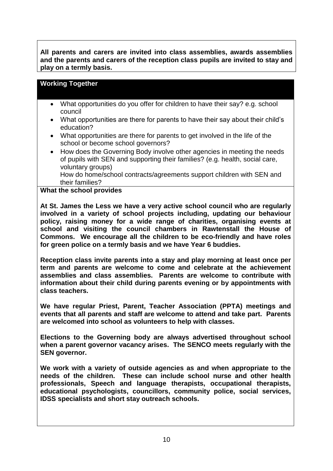**All parents and carers are invited into class assemblies, awards assemblies and the parents and carers of the reception class pupils are invited to stay and play on a termly basis.**

# **Working Together**

- What opportunities do you offer for children to have their say? e.g. school council
- What opportunities are there for parents to have their say about their child's education?
- What opportunities are there for parents to get involved in the life of the school or become school governors?
- How does the Governing Body involve other agencies in meeting the needs of pupils with SEN and supporting their families? (e.g. health, social care, voluntary groups) How do home/school contracts/agreements support children with SEN and their families?

## **What the school provides**

**At St. James the Less we have a very active school council who are regularly involved in a variety of school projects including, updating our behaviour policy, raising money for a wide range of charities, organising events at school and visiting the council chambers in Rawtenstall the House of Commons. We encourage all the children to be eco-friendly and have roles for green police on a termly basis and we have Year 6 buddies.**

**Reception class invite parents into a stay and play morning at least once per term and parents are welcome to come and celebrate at the achievement assemblies and class assemblies. Parents are welcome to contribute with information about their child during parents evening or by appointments with class teachers.**

**We have regular Priest, Parent, Teacher Association (PPTA) meetings and events that all parents and staff are welcome to attend and take part. Parents are welcomed into school as volunteers to help with classes.** 

**Elections to the Governing body are always advertised throughout school when a parent governor vacancy arises. The SENCO meets regularly with the SEN governor.**

**We work with a variety of outside agencies as and when appropriate to the needs of the children. These can include school nurse and other health professionals, Speech and language therapists, occupational therapists, educational psychologists, councillors, community police, social services, IDSS specialists and short stay outreach schools.**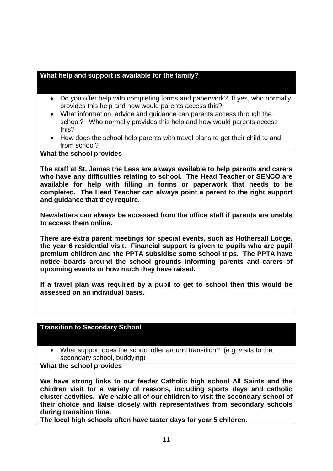# **What help and support is available for the family?**

- Do you offer help with completing forms and paperwork? If yes, who normally provides this help and how would parents access this?
- What information, advice and guidance can parents access through the school? Who normally provides this help and how would parents access this?
- How does the school help parents with travel plans to get their child to and from school?

**What the school provides**

**The staff at St. James the Less are always available to help parents and carers who have any difficulties relating to school. The Head Teacher or SENCO are available for help with filling in forms or paperwork that needs to be completed. The Head Teacher can always point a parent to the right support and guidance that they require.** 

**Newsletters can always be accessed from the office staff if parents are unable to access them online.** 

**There are extra parent meetings for special events, such as Hothersall Lodge, the year 6 residential visit. Financial support is given to pupils who are pupil premium children and the PPTA subsidise some school trips. The PPTA have notice boards around the school grounds informing parents and carers of upcoming events or how much they have raised.**

**If a travel plan was required by a pupil to get to school then this would be assessed on an individual basis.**

## **Transition to Secondary School**

 What support does the school offer around transition? (e.g. visits to the secondary school, buddying)

**What the school provides**

**We have strong links to our feeder Catholic high school All Saints and the children visit for a variety of reasons, including sports days and catholic cluster activities. We enable all of our children to visit the secondary school of their choice and liaise closely with representatives from secondary schools during transition time.**

**The local high schools often have taster days for year 5 children.**